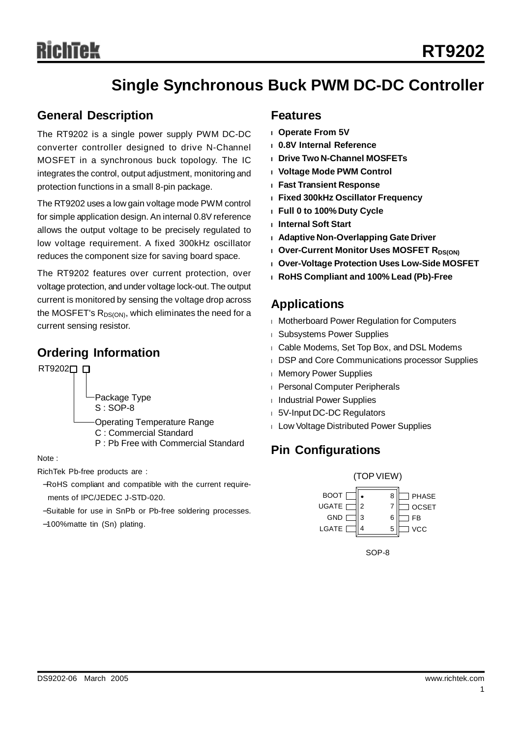# **Single Synchronous Buck PWM DC-DC Controller**

### **General Description**

The RT9202 is a single power supply PWM DC-DC converter controller designed to drive N-Channel MOSFET in a synchronous buck topology. The IC integrates the control, output adjustment, monitoring and protection functions in a small 8-pin package.

The RT9202 uses a low gain voltage mode PWM control for simple application design. An internal 0.8V reference allows the output voltage to be precisely regulated to low voltage requirement. A fixed 300kHz oscillator reduces the component size for saving board space.

The RT9202 features over current protection, over voltage protection, and under voltage lock-out. The output current is monitored by sensing the voltage drop across the MOSFET's  $R_{DS(ON)}$ , which eliminates the need for a current sensing resistor.

## **Ordering Information**

RT92020<sub>D</sub>

Package Type S : SOP-8

Operating Temperature Range

- C : Commercial Standard
- P : Pb Free with Commercial Standard

Note :

RichTek Pb-free products are :

- −RoHS compliant and compatible with the current requirements of IPC/JEDEC J-STD-020.
- −Suitable for use in SnPb or Pb-free soldering processes.

−100%matte tin (Sn) plating.

### **Features**

- **<sup>l</sup> Operate From 5V**
- **<sup>l</sup> 0.8V Internal Reference**
- **<sup>l</sup> Drive Two N-Channel MOSFETs**
- **<sup>l</sup> Voltage Mode PWM Control**
- **<sup>l</sup> Fast Transient Response**
- **<sup>l</sup> Fixed 300kHz Oscillator Frequency**
- **<sup>l</sup> Full 0 to 100% Duty Cycle**
- **<sup>l</sup> Internal Soft Start**
- **<sup>l</sup> Adaptive Non-Overlapping Gate Driver**
- **l** Over-Current Monitor Uses MOSFET R<sub>DS(ON)</sub>
- **<sup>l</sup> Over-Voltage Protection Uses Low-Side MOSFET**
- **<sup>l</sup> RoHS Compliant and 100% Lead (Pb)-Free**

## **Applications**

- <sup>l</sup> Motherboard Power Regulation for Computers
- <sup>l</sup> Subsystems Power Supplies
- <sup>l</sup> Cable Modems, Set Top Box, and DSL Modems
- **I DSP and Core Communications processor Supplies**
- **I** Memory Power Supplies
- <sup>l</sup> Personal Computer Peripherals
- <sup>l</sup> Industrial Power Supplies
- <sup>l</sup> 5V-Input DC-DC Regulators
- <sup>l</sup> Low Voltage Distributed Power Supplies

## **Pin Configurations**



SOP-8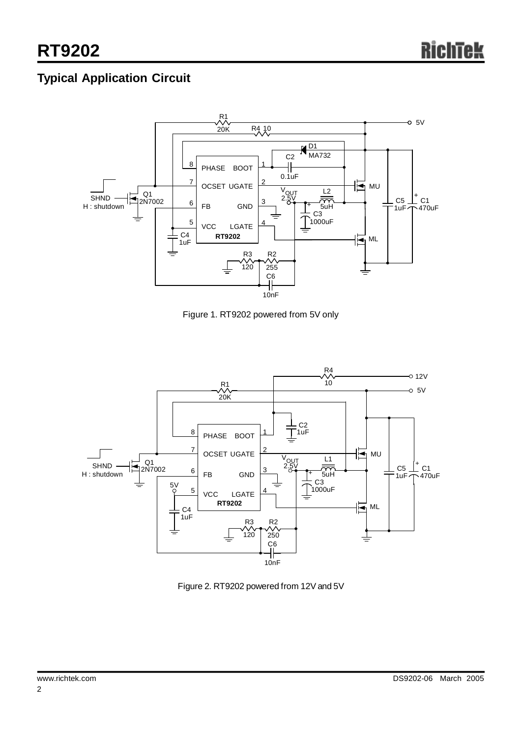## **Typical Application Circuit**



Figure 1. RT9202 powered from 5V only



Figure 2. RT9202 powered from 12V and 5V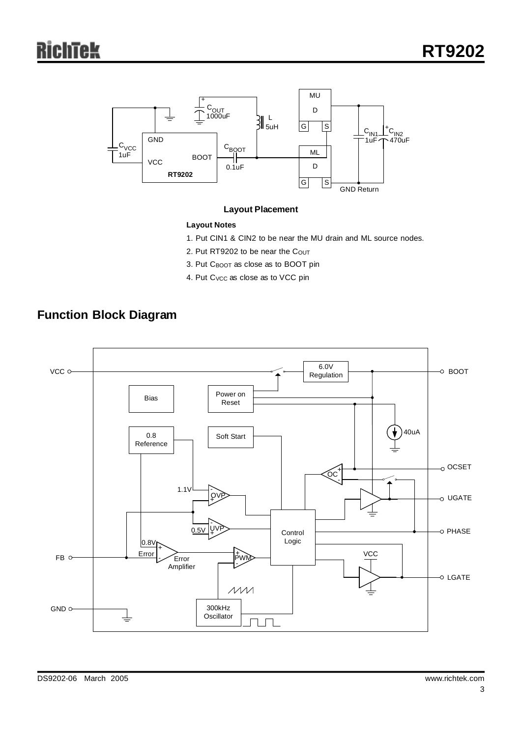

#### **Layout Placement**

#### **Layout Notes**

- 1. Put CIN1 & CIN2 to be near the MU drain and ML source nodes.
- 2. Put RT9202 to be near the Cout
- 3. Put CBOOT as close as to BOOT pin
- 4. Put C<sub>VCC</sub> as close as to VCC pin

## **Function Block Diagram**

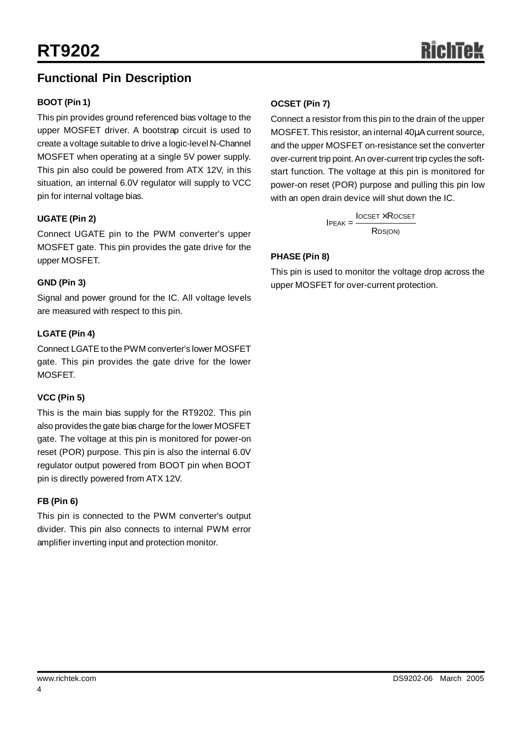## **Functional Pin Description**

#### **BOOT (Pin 1)**

This pin provides ground referenced bias voltage to the upper MOSFET driver. A bootstrap circuit is used to create a voltage suitable to drive a logic-level N-Channel MOSFET when operating at a single 5V power supply. This pin also could be powered from ATX 12V, in this situation, an internal 6.0V regulator will supply to VCC pin for internal voltage bias.

#### **UGATE (Pin 2)**

Connect UGATE pin to the PWM converter's upper MOSFET gate. This pin provides the gate drive for the upper MOSFET.

#### **GND (Pin 3)**

Signal and power ground for the IC. All voltage levels are measured with respect to this pin.

#### **LGATE (Pin 4)**

Connect LGATE to the PWM converter's lower MOSFET gate. This pin provides the gate drive for the lower MOSFET.

#### **VCC (Pin 5)**

This is the main bias supply for the RT9202. This pin also provides the gate bias charge for the lower MOSFET gate. The voltage at this pin is monitored for power-on reset (POR) purpose. This pin is also the internal 6.0V regulator output powered from BOOT pin when BOOT pin is directly powered from ATX 12V.

#### **FB (Pin 6)**

This pin is connected to the PWM converter's output divider. This pin also connects to internal PWM error amplifier inverting input and protection monitor.

#### **OCSET (Pin 7)**

Connect a resistor from this pin to the drain of the upper MOSFET. This resistor, an internal 40μA current source, and the upper MOSFET on-resistance set the converter over-current trip point.An over-current trip cycles the softstart function. The voltage at this pin is monitored for power-on reset (POR) purpose and pulling this pin low with an open drain device will shut down the IC.

> **IOCSET × ROCSET**  $IPEAK =$ R<sub>DS(ON)</sub>

#### **PHASE (Pin 8)**

This pin is used to monitor the voltage drop across the upper MOSFET for over-current protection.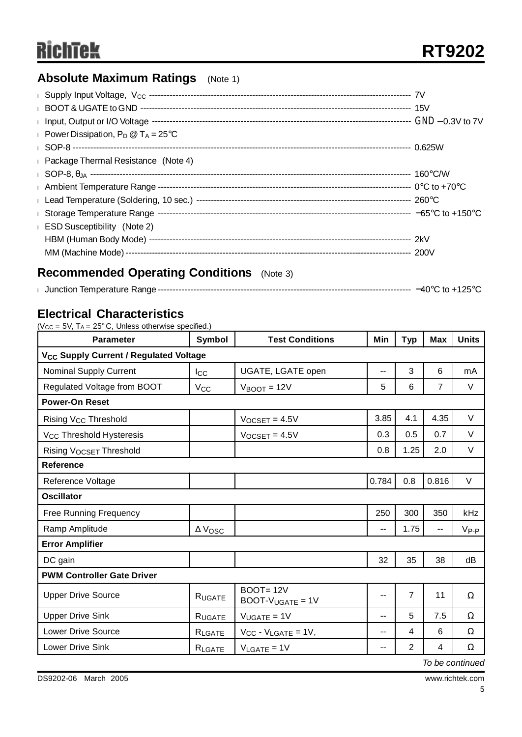## **Absolute Maximum Ratings** (Note 1)

| Power Dissipation, $P_D @ T_A = 25^{\circ}C$         |  |
|------------------------------------------------------|--|
|                                                      |  |
| <b>Example 2</b> Package Thermal Resistance (Note 4) |  |
|                                                      |  |
|                                                      |  |
|                                                      |  |
|                                                      |  |
| <b>ESD Susceptibility</b> (Note 2)                   |  |
|                                                      |  |
|                                                      |  |
|                                                      |  |

## **Recommended Operating Conditions** (Note 3)

| Junction Temperature Range | –40°∩ |
|----------------------------|-------|
|                            | . to  |

## **Electrical Characteristics**

( $Vcc = 5V$ ,  $Ta = 25^{\circ}C$ , Unless otherwise specified.)

| <b>Parameter</b>                                   | Symbol                               | <b>Test Conditions</b>             |       | <b>Typ</b>     | <b>Max</b>     | <b>Units</b> |  |  |  |
|----------------------------------------------------|--------------------------------------|------------------------------------|-------|----------------|----------------|--------------|--|--|--|
| V <sub>CC</sub> Supply Current / Regulated Voltage |                                      |                                    |       |                |                |              |  |  |  |
| <b>Nominal Supply Current</b>                      | $_{\rm lcc}$                         | UGATE, LGATE open                  | --    | 3              | 6              | mA           |  |  |  |
| Regulated Voltage from BOOT                        | <b>V<sub>CC</sub></b>                | $V_{\text{BOOT}} = 12V$            | 5     | 6              | $\overline{7}$ | $\vee$       |  |  |  |
| <b>Power-On Reset</b>                              |                                      |                                    |       |                |                |              |  |  |  |
| Rising V <sub>CC</sub> Threshold                   |                                      | $V_{OCSET} = 4.5V$                 | 3.85  | 4.1            | 4.35           | V            |  |  |  |
| V <sub>CC</sub> Threshold Hysteresis               |                                      | $V_{OCSET} = 4.5V$                 | 0.3   | 0.5            | 0.7            | $\vee$       |  |  |  |
| Rising VOCSET Threshold                            |                                      |                                    | 0.8   | 1.25           | 2.0            | $\vee$       |  |  |  |
| <b>Reference</b>                                   |                                      |                                    |       |                |                |              |  |  |  |
| Reference Voltage                                  |                                      |                                    | 0.784 | 0.8            | 0.816          | $\vee$       |  |  |  |
| <b>Oscillator</b>                                  |                                      |                                    |       |                |                |              |  |  |  |
| <b>Free Running Frequency</b>                      |                                      |                                    | 250   | 300            | 350            | kHz          |  |  |  |
| Ramp Amplitude                                     | $\Delta$ $\mathsf{V}_{\mathsf{OSC}}$ |                                    | $-$   | 1.75           | --             | $V_{P-P}$    |  |  |  |
| <b>Error Amplifier</b>                             |                                      |                                    |       |                |                |              |  |  |  |
| DC gain                                            |                                      |                                    | 32    | 35             | 38             | dB           |  |  |  |
| <b>PWM Controller Gate Driver</b>                  |                                      |                                    |       |                |                |              |  |  |  |
| <b>Upper Drive Source</b>                          | RUGATE                               | $BOOT = 12V$<br>$BOOT-VUGATE = 1V$ | --    | $\overline{7}$ | 11             | Ω            |  |  |  |
| <b>Upper Drive Sink</b>                            | RUGATE                               | $V_{UGATE} = 1V$                   | $-$   | 5              | 7.5            | Ω            |  |  |  |
| <b>Lower Drive Source</b>                          | RLGATE                               | $V_{CC}$ - $V_{LGATE}$ = 1V,       | --    | 4              | 6              | Ω            |  |  |  |
| <b>Lower Drive Sink</b>                            | RLGATE                               | $V_{LGATE} = 1V$                   | --    | 2              | 4              | Ω            |  |  |  |

*To be continued*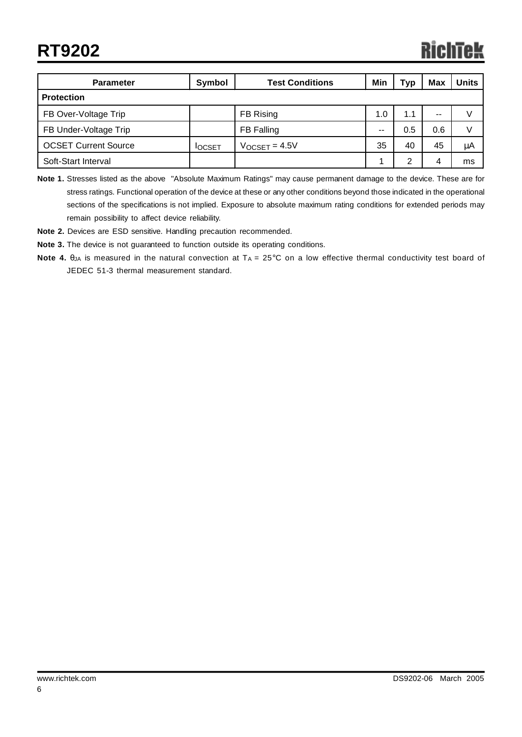| <b>Parameter</b>            | Symbol        | <b>Test Conditions</b> |     | Typ | <b>Max</b> | <b>Units</b> |
|-----------------------------|---------------|------------------------|-----|-----|------------|--------------|
| <b>Protection</b>           |               |                        |     |     |            |              |
| FB Over-Voltage Trip        | FB Rising     |                        | 1.0 | 1.1 | --         |              |
| FB Under-Voltage Trip       |               | FB Falling             |     | 0.5 | 0.6        | V            |
| <b>OCSET Current Source</b> | <b>IOCSET</b> | $V$ OCSET = 4.5V       |     | 40  | 45         | μA           |
| Soft-Start Interval         |               |                        |     | 2   |            | ms           |

**Note 1.** Stresses listed as the above "Absolute Maximum Ratings" may cause permanent damage to the device. These are for stress ratings. Functional operation of the device at these or any other conditions beyond those indicated in the operational sections of the specifications is not implied. Exposure to absolute maximum rating conditions for extended periods may remain possibility to affect device reliability.

**Note 2.** Devices are ESD sensitive. Handling precaution recommended.

**Note 3.** The device is not guaranteed to function outside its operating conditions.

**Note 4.** θ<sub>JA</sub> is measured in the natural convection at T<sub>A</sub> = 25°C on a low effective thermal conductivity test board of JEDEC 51-3 thermal measurement standard.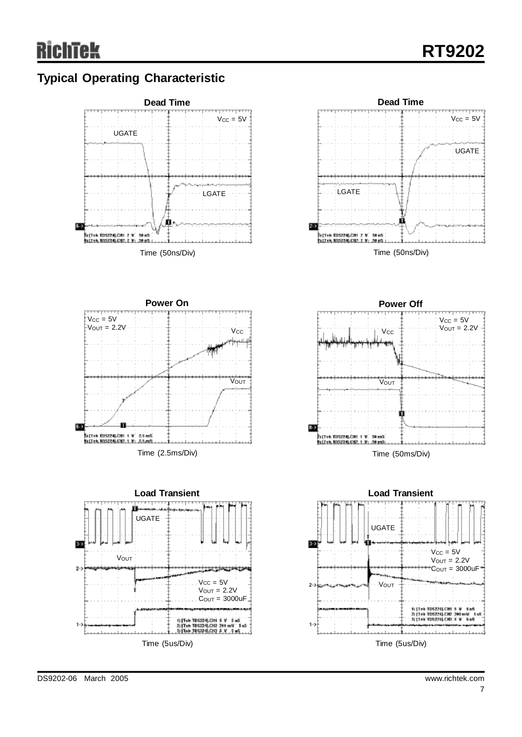## **Typical Operating Characteristic**

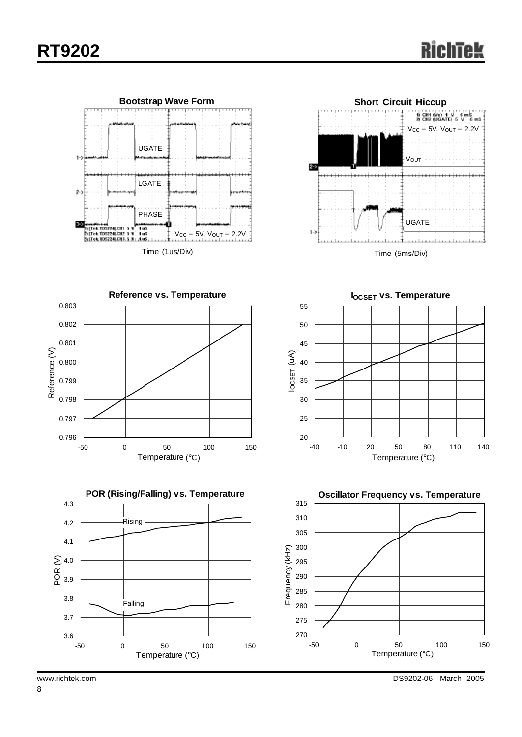



Time (5ms/Div)







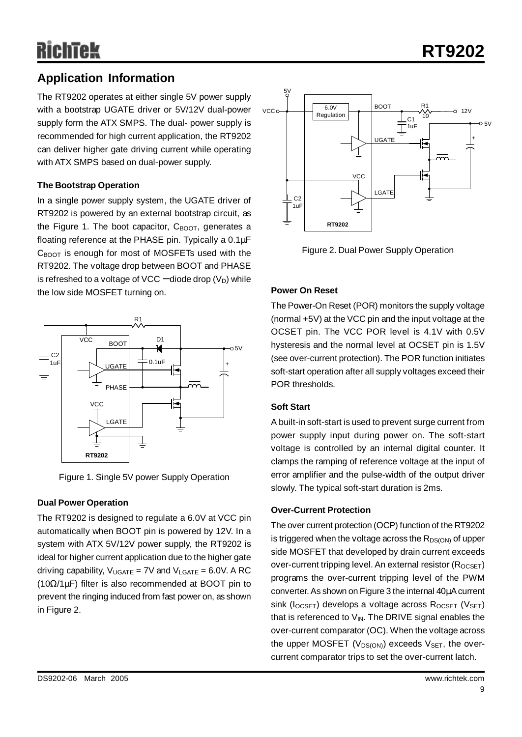## **Application Information**

The RT9202 operates at either single 5V power supply with a bootstrap UGATE driver or 5V/12V dual-power supply form the ATX SMPS. The dual- power supply is recommended for high current application, the RT9202 can deliver higher gate driving current while operating with ATX SMPS based on dual-power supply.

#### **The Bootstrap Operation**

In a single power supply system, the UGATE driver of RT9202 is powered by an external bootstrap circuit, as the Figure 1. The boot capacitor,  $C_{\text{BOOT}}$ , generates a floating reference at the PHASE pin. Typically a 0.1μF  $C_{\text{BOOT}}$  is enough for most of MOSFETs used with the RT9202. The voltage drop between BOOT and PHASE is refreshed to a voltage of VCC – diode drop  $(V_D)$  while the low side MOSFET turning on.



Figure 1. Single 5V power Supply Operation

#### **Dual Power Operation**

The RT9202 is designed to regulate a 6.0V at VCC pin automatically when BOOT pin is powered by 12V. In a system with ATX 5V/12V power supply, the RT9202 is ideal for higher current application due to the higher gate driving capability,  $V_{UGATE} = 7V$  and  $V_{LGATE} = 6.0V$ . A RC (10Ω/1μF) filter is also recommended at BOOT pin to prevent the ringing induced from fast power on, as shown in Figure 2.



Figure 2. Dual Power Supply Operation

#### **Power On Reset**

The Power-On Reset (POR) monitors the supply voltage (normal +5V) at the VCC pin and the input voltage at the OCSET pin. The VCC POR level is 4.1V with 0.5V hysteresis and the normal level at OCSET pin is 1.5V (see over-current protection). The POR function initiates soft-start operation after all supply voltages exceed their POR thresholds.

#### **Soft Start**

A built-in soft-start is used to prevent surge current from power supply input during power on. The soft-start voltage is controlled by an internal digital counter. It clamps the ramping of reference voltage at the input of error amplifier and the pulse-width of the output driver slowly. The typical soft-start duration is 2ms.

#### **Over-Current Protection**

The over current protection (OCP) function of the RT9202 is triggered when the voltage across the  $R_{DS(ON)}$  of upper side MOSFET that developed by drain current exceeds over-current tripping level. An external resistor  $(R_{OCSET})$ programs the over-current tripping level of the PWM converter.As shown on Figure 3 the internal 40μAcurrent sink ( $I_{OCSET}$ ) develops a voltage across  $R_{OCSET}$  ( $V_{SET}$ ) that is referenced to  $V_{IN}$ . The DRIVE signal enables the over-current comparator (OC). When the voltage across the upper MOSFET ( $V_{DS(ON)}$ ) exceeds  $V_{SET}$ , the overcurrent comparator trips to set the over-current latch.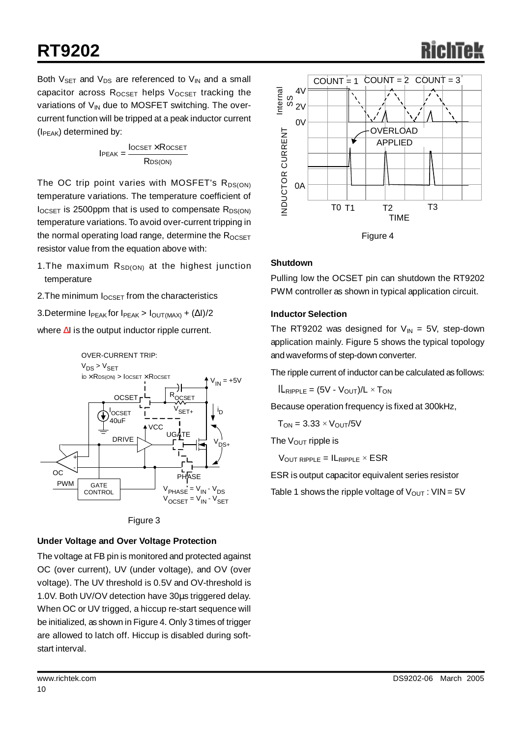# **RT9202**

Both  $V_{\text{SET}}$  and  $V_{\text{DS}}$  are referenced to  $V_{\text{IN}}$  and a small capacitor across  $R_{OCSET}$  helps  $V_{OCSET}$  tracking the variations of  $V_{IN}$  due to MOSFET switching. The overcurrent function will be tripped at a peak inductor current  $(I_{PEAK})$  determined by:

$$
IPEAK = \frac{Iocset \times Rocset}{RDS(ON)}
$$

The OC trip point varies with MOSFET's  $R_{DS(ON)}$ temperature variations. The temperature coefficient of  $I_{OCSET}$  is 2500ppm that is used to compensate  $R_{DS(ON)}$ temperature variations. To avoid over-current tripping in the normal operating load range, determine the  $R_{OCSFT}$ resistor value from the equation above with:

- 1. The maximum  $R_{SD(ON)}$  at the highest junction temperature
- 2. The minimum  $I_{OCSET}$  from the characteristics
- 3.Determine  $I_{PEAK}$  for  $I_{PEAK}$  >  $I_{OUT(MAX)} + (\Delta I)/2$

where ΔI is the output inductor ripple current.





#### **Under Voltage and Over Voltage Protection**

The voltage at FB pin is monitored and protected against OC (over current), UV (under voltage), and OV (over voltage). The UV threshold is 0.5V and OV-threshold is 1.0V. Both UV/OV detection have 30μs triggered delay. When OC or UV trigged, a hiccup re-start sequence will be initialized, as shown in Figure 4. Only 3 times of trigger are allowed to latch off. Hiccup is disabled during softstart interval.



#### **Shutdown**

Pulling low the OCSET pin can shutdown the RT9202 PWM controller as shown in typical application circuit.

#### **Inductor Selection**

The RT9202 was designed for  $V_{\text{IN}} = 5V$ , step-down application mainly. Figure 5 shows the typical topology and waveforms of step-down converter.

The ripple current of inductor can be calculated as follows:

 $I\!I\!I_{\mathsf{RIPPLE}} = (5V - V_{\mathsf{OUT}})/L \times T_{\mathsf{ON}}$ 

Because operation frequency is fixed at 300kHz,

 $T_{ON} = 3.33 \times V_{OUT}/5V$ 

The  $V_{\text{OUT}}$  ripple is

 $V_{\text{OUT RIPPLE}} = I_{\text{RIPPLE}} \times ESR$ 

ESR is output capacitor equivalent series resistor

Table 1 shows the ripple voltage of  $V_{OUT}$ :  $VIN = 5V$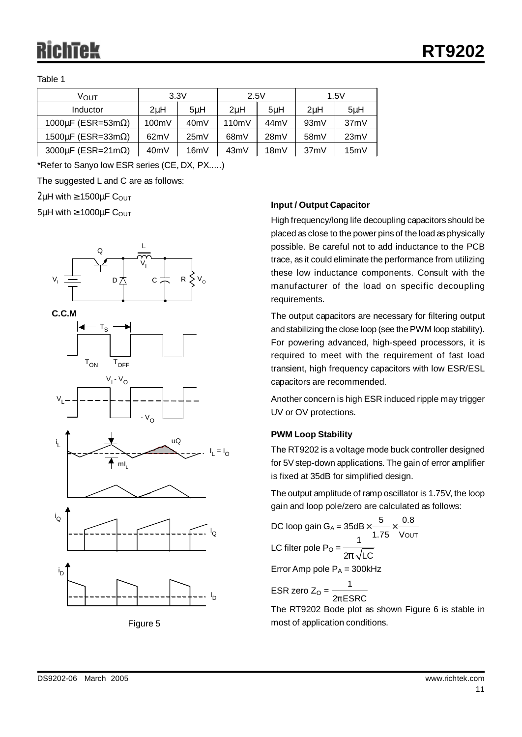Table 1

| ∨ουτ                             | 3.3V             |      | 2.5V              |      | 1.5V              |         |  |
|----------------------------------|------------------|------|-------------------|------|-------------------|---------|--|
| Inductor                         | 2 <sub>u</sub> H | 5uH  | 2uH               | 5uH  | 2 <sub>u</sub> H  | $5\muH$ |  |
| 1000 $\mu$ F (ESR=53m $\Omega$ ) | 100mV            | 40mV | 110mV             | 44mV | 93mV              | 37mV    |  |
| 1500 $\mu$ F (ESR=33m $\Omega$ ) | 62mV             | 25mV | 68 <sub>m</sub> V | 28mV | 58 <sub>m</sub> V | 23mV    |  |
| 3000 $\mu$ F (ESR=21m $\Omega$ ) | 40mV             | 16mV | 43mV              | 18mV | 37mV              | 15mV    |  |

\*Refer to Sanyo low ESR series (CE, DX, PX.....)

The suggested L and C are as follows:

 $2\mu$ H with  $\geq 1500\mu$ F COUT

 $5\mu$ H with  $\geq 1000\mu$ F C<sub>OUT</sub>









ID

#### **Input / Output Capacitor**

High frequency/long life decoupling capacitors should be placed as close to the power pins of the load as physically possible. Be careful not to add inductance to the PCB trace, as it could eliminate the performance from utilizing these low inductance components. Consult with the manufacturer of the load on specific decoupling requirements.

The output capacitors are necessary for filtering output and stabilizing the close loop (see thePWM loop stability). For powering advanced, high-speed processors, it is required to meet with the requirement of fast load transient, high frequency capacitors with low ESR/ESL capacitors are recommended.

Another concern is high ESR induced ripple may trigger UV or OV protections.

#### **PWM Loop Stability**

The RT9202 is a voltage mode buck controller designed for 5V step-down applications. The gain of error amplifier is fixed at 35dB for simplified design.

The output amplitude of ramp oscillator is 1.75V, the loop gain and loop pole/zero are calculated as follows:

DC loop gain G<sub>A</sub> =  $35dB \times$  —  $\times$ LC filter pole P<sub>O</sub> =  $\frac{1}{2p\sqrt{\text{LC}}}$ Error Amp pole  $P_A = 300$ kHz OUT  $35$ d $\textsf{B}\times$   $\overset{\textsf{5}}{\textsf{--}}\times$   $\overset{\textsf{0.8}}{\textsf{--}}}$ 1.75 V 1 1

ESR zero Z $_{\mathrm{O}}$  =  $\frac{\ }{\mathrm{2}p}% \left\{ \sqrt{\frac{p_{\mathrm{O}}+p_{\mathrm{O}}+p_{\mathrm{O}}+p_{\mathrm{O}}+p_{\mathrm{O}}+p_{\mathrm{O}}+p_{\mathrm{O}}+p_{\mathrm{O}}+p_{\mathrm{O}}+p_{\mathrm{O}}+p_{\mathrm{O}}+p_{\mathrm{O}}+p_{\mathrm{O}}+p_{\mathrm{O}}+p_{\mathrm{O}}+p_{\mathrm{O}}+p_{\mathrm{O}}+p_{\mathrm{O}}+p_{\mathrm{O}}+p_{\mathrm{O}}+p_{\mathrm{O}}+p_{\mathrm{O}}+p_{\$  $2p$ ESRC

The RT9202 Bode plot as shown Figure 6 is stable in most of application conditions.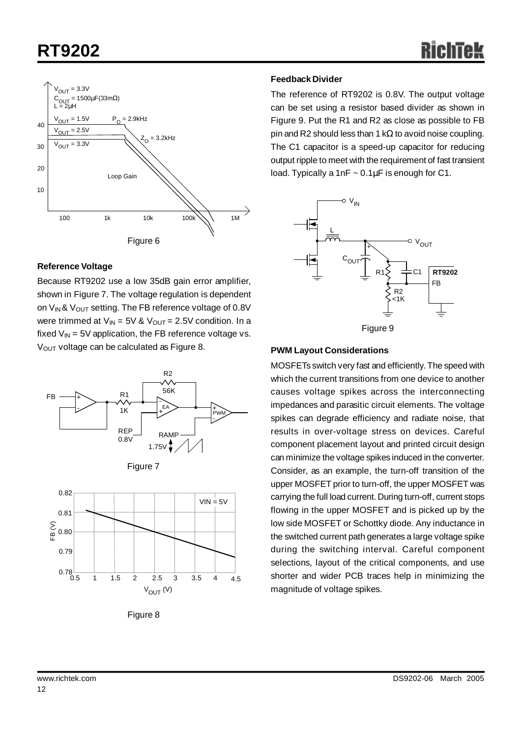# **RT9202**



#### **Reference Voltage**

Because RT9202 use a low 35dB gain error amplifier, shown in Figure 7. The voltage regulation is dependent on  $V_{IN}$ &  $V_{OUT}$  setting. The FB reference voltage of 0.8V were trimmed at  $V_{IN} = 5V$  &  $V_{OUT} = 2.5V$  condition. In a fixed  $V_{IN}$  = 5V application, the FB reference voltage vs. V<sub>OUT</sub> voltage can be calculated as Figure 8.





Figure 8

#### **Feedback Divider**

The reference of RT9202 is 0.8V. The output voltage can be set using a resistor based divider as shown in Figure 9. Put the R1 and R2 as close as possible to FB pin and R2 should less than 1 kΩ to avoid noise coupling. The C1 capacitor is a speed-up capacitor for reducing output ripple to meet with the requirement of fast transient load. Typically a 1nF  $\sim 0.1 \mu$ F is enough for C1.



#### **PWM Layout Considerations**

MOSFETs switch very fast and efficiently. The speed with which the current transitions from one device to another causes voltage spikes across the interconnecting impedances and parasitic circuit elements. The voltage spikes can degrade efficiency and radiate noise, that results in over-voltage stress on devices. Careful component placement layout and printed circuit design can minimize the voltage spikes induced in the converter. Consider, as an example, the turn-off transition of the upper MOSFET prior to turn-off, the upper MOSFET was carrying the full load current. During turn-off, current stops flowing in the upper MOSFET and is picked up by the low side MOSFET or Schottky diode. Any inductance in the switched current path generates a large voltage spike during the switching interval. Careful component selections, layout of the critical components, and use shorter and wider PCB traces help in minimizing the magnitude of voltage spikes.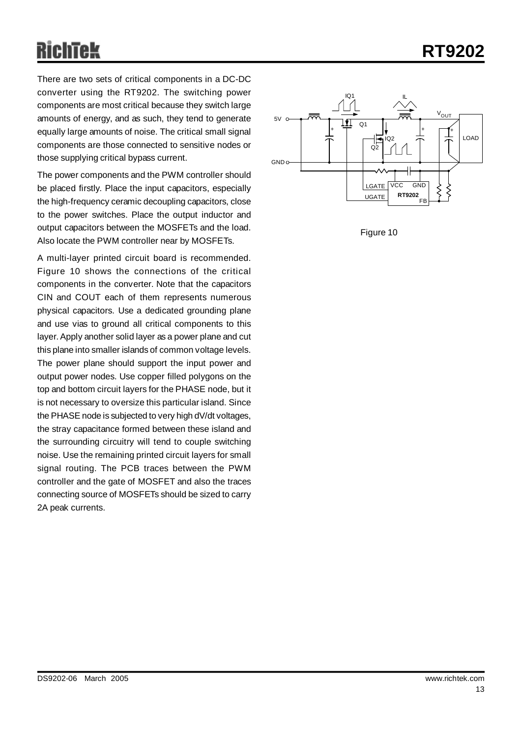**RT9202**

There are two sets of critical components in a DC-DC converter using the RT9202. The switching power components are most critical because they switch large amounts of energy, and as such, they tend to generate equally large amounts of noise. The critical small signal components are those connected to sensitive nodes or those supplying critical bypass current.

The power components and the PWM controller should be placed firstly. Place the input capacitors, especially the high-frequency ceramic decoupling capacitors, close to the power switches. Place the output inductor and output capacitors between the MOSFETs and the load. Also locate the PWM controller near by MOSFETs.

A multi-layer printed circuit board is recommended. Figure 10 shows the connections of the critical components in the converter. Note that the capacitors CIN and COUT each of them represents numerous physical capacitors. Use a dedicated grounding plane and use vias to ground all critical components to this layer. Apply another solid layer as a power plane and cut this plane into smaller islands of common voltage levels. The power plane should support the input power and output power nodes. Use copper filled polygons on the top and bottom circuit layers for the PHASE node, but it is not necessary to oversize this particular island. Since the PHASE node is subjected to very high dV/dt voltages, the stray capacitance formed between these island and the surrounding circuitry will tend to couple switching noise. Use the remaining printed circuit layers for small signal routing. The PCB traces between the PWM controller and the gate of MOSFET and also the traces connecting source of MOSFETs should be sized to carry 2A peak currents.



Figure 10